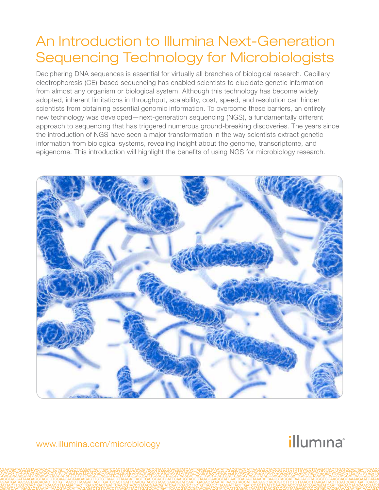## An Introduction to Illumina Next-Generation Sequencing Technology for Microbiologists

Deciphering DNA sequences is essential for virtually all branches of biological research. Capillary electrophoresis (CE)-based sequencing has enabled scientists to elucidate genetic information from almost any organism or biological system. Although this technology has become widely adopted, inherent limitations in throughput, scalability, cost, speed, and resolution can hinder scientists from obtaining essential genomic information. To overcome these barriers, an entirely new technology was developed—next-generation sequencing (NGS), a fundamentally different approach to sequencing that has triggered numerous ground-breaking discoveries. The years since the introduction of NGS have seen a major transformation in the way scientists extract genetic information from biological systems, revealing insight about the genome, transcriptome, and epigenome. This introduction will highlight the benefits of using NGS for microbiology research.



www.illumina.com/microbiology

# illumına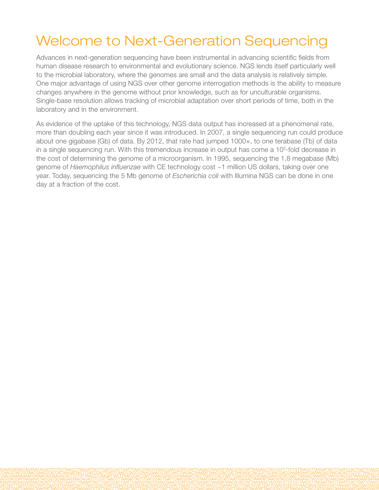## Welcome to Next-Generation Sequencing

Advances in next-generation sequencing have been instrumental in advancing scientific fields from human disease research to environmental and evolutionary science. NGS lends itself particularly well to the microbial laboratory, where the genomes are small and the data analysis is relatively simple. One major advantage of using NGS over other genome interrogation methods is the ability to measure changes anywhere in the genome without prior knowledge, such as for unculturable organisms. Single-base resolution allows tracking of microbial adaptation over short periods of time, both in the laboratory and in the environment.

As evidence of the uptake of this technology, NGS data output has increased at a phenomenal rate, more than doubling each year since it was introduced. In 2007, a single sequencing run could produce about one gigabase (Gb) of data. By 2012, that rate had jumped 1000×, to one terabase (Tb) of data in a single sequencing run. With this tremendous increase in output has come a 10<sup>5</sup>-fold decrease in the cost of determining the genome of a microorganism. In 1995, sequencing the 1.8 megabase (Mb) genome of *Haemophilus influenzae* with CE technology cost ~1 million US dollars, taking over one year. Today, sequencing the 5 Mb genome of *Escherichia coli* with Illumina NGS can be done in one day at a fraction of the cost.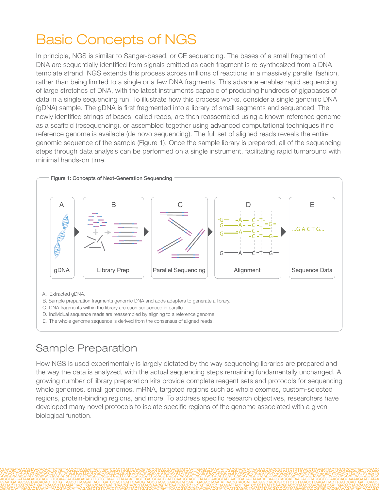## Basic Concepts of NGS

In principle, NGS is similar to Sanger-based, or CE sequencing. The bases of a small fragment of DNA are sequentially identified from signals emitted as each fragment is re-synthesized from a DNA template strand. NGS extends this process across millions of reactions in a massively parallel fashion, rather than being limited to a single or a few DNA fragments. This advance enables rapid sequencing of large stretches of DNA, with the latest instruments capable of producing hundreds of gigabases of data in a single sequencing run. To illustrate how this process works, consider a single genomic DNA (gDNA) sample. The gDNA is first fragmented into a library of small segments and sequenced. The newly identified strings of bases, called reads, are then reassembled using a known reference genome as a scaffold (resequencing), or assembled together using advanced computational techniques if no reference genome is available (de novo sequencing). The full set of aligned reads reveals the entire genomic sequence of the sample (Figure 1). Once the sample library is prepared, all of the sequencing steps through data analysis can be performed on a single instrument, facilitating rapid turnaround with minimal hands-on time.



### Sample Preparation

How NGS is used experimentally is largely dictated by the way sequencing libraries are prepared and the way the data is analyzed, with the actual sequencing steps remaining fundamentally unchanged. A growing number of library preparation kits provide complete reagent sets and protocols for sequencing whole genomes, small genomes, mRNA, targeted regions such as whole exomes, custom-selected regions, protein-binding regions, and more. To address specific research objectives, researchers have developed many novel protocols to isolate specific regions of the genome associated with a given biological function.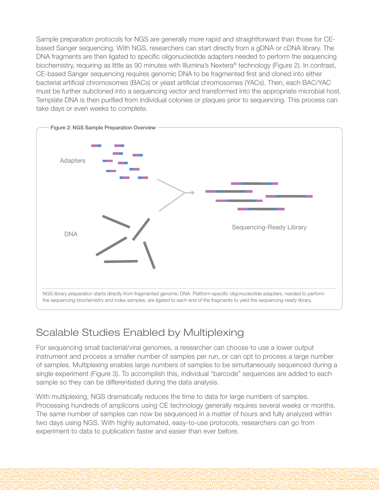Sample preparation protocols for NGS are generally more rapid and straightforward than those for CEbased Sanger sequencing. With NGS, researchers can start directly from a gDNA or cDNA library. The DNA fragments are then ligated to specific oligonucleotide adapters needed to perform the sequencing biochemistry, requiring as little as 90 minutes with Illumina's Nextera® technology (Figure 2). In contrast, CE-based Sanger sequencing requires genomic DNA to be fragmented first and cloned into either bacterial artificial chromosomes (BACs) or yeast artificial chromosomes (YACs). Then, each BAC/YAC must be further subcloned into a sequencing vector and transformed into the appropriate microbial host. Template DNA is then purified from individual colonies or plaques prior to sequencing. This process can take days or even weeks to complete.



### Scalable Studies Enabled by Multiplexing

For sequencing small bacterial/viral genomes, a researcher can choose to use a lower output instrument and process a smaller number of samples per run, or can opt to process a large number of samples. Multiplexing enables large numbers of samples to be simultaneously sequenced during a single experiment (Figure 3). To accomplish this, individual "barcode" sequences are added to each sample so they can be differentiated during the data analysis.

With multiplexing, NGS dramatically reduces the time to data for large numbers of samples. Processing hundreds of amplicons using CE technology generally requires several weeks or months. The same number of samples can now be sequenced in a matter of hours and fully analyzed within two days using NGS. With highly automated, easy-to-use protocols, researchers can go from experiment to data to publication faster and easier than ever before.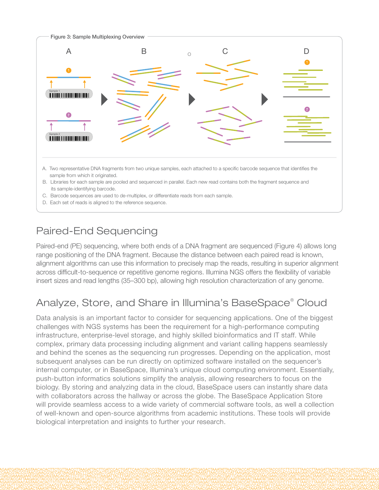

D. Each set of reads is aligned to the reference sequence.

#### Paired-End Sequencing

Paired-end (PE) sequencing, where both ends of a DNA fragment are sequenced (Figure 4) allows long range positioning of the DNA fragment. Because the distance between each paired read is known, alignment algorithms can use this information to precisely map the reads, resulting in superior alignment across difficult-to-sequence or repetitive genome regions. Illumina NGS offers the flexibility of variable insert sizes and read lengths (35–300 bp), allowing high resolution characterization of any genome.

### Analyze, Store, and Share in Illumina's BaseSpace® Cloud

Data analysis is an important factor to consider for sequencing applications. One of the biggest challenges with NGS systems has been the requirement for a high-performance computing infrastructure, enterprise-level storage, and highly skilled bioinformatics and IT staff. While complex, primary data processing including alignment and variant calling happens seamlessly and behind the scenes as the sequencing run progresses. Depending on the application, most subsequent analyses can be run directly on optimized software installed on the sequencer's internal computer, or in BaseSpace, Illumina's unique cloud computing environment. Essentially, push-button informatics solutions simplify the analysis, allowing researchers to focus on the biology. By storing and analyzing data in the cloud, BaseSpace users can instantly share data with collaborators across the hallway or across the globe. The BaseSpace Application Store will provide seamless access to a wide variety of commercial software tools, as well a collection of well-known and open-source algorithms from academic institutions. These tools will provide biological interpretation and insights to further your research.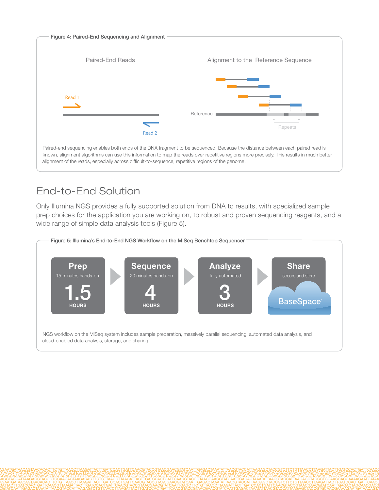

### End-to-End Solution

Only Illumina NGS provides a fully supported solution from DNA to results, with specialized sample prep choices for the application you are working on, to robust and proven sequencing reagents, and a wide range of simple data analysis tools (Figure 5).

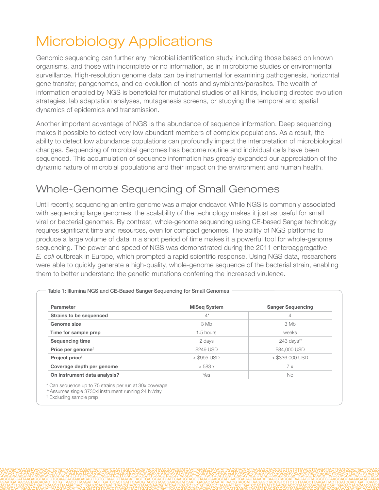# Microbiology Applications

Genomic sequencing can further any microbial identification study, including those based on known organisms, and those with incomplete or no information, as in microbiome studies or environmental surveillance. High-resolution genome data can be instrumental for examining pathogenesis, horizontal gene transfer, pangenomes, and co-evolution of hosts and symbionts/parasites. The wealth of information enabled by NGS is beneficial for mutational studies of all kinds, including directed evolution strategies, lab adaptation analyses, mutagenesis screens, or studying the temporal and spatial dynamics of epidemics and transmission.

Another important advantage of NGS is the abundance of sequence information. Deep sequencing makes it possible to detect very low abundant members of complex populations. As a result, the ability to detect low abundance populations can profoundly impact the interpretation of microbiological changes. Sequencing of microbial genomes has become routine and individual cells have been sequenced. This accumulation of sequence information has greatly expanded our appreciation of the dynamic nature of microbial populations and their impact on the environment and human health.

### Whole-Genome Sequencing of Small Genomes

Until recently, sequencing an entire genome was a major endeavor. While NGS is commonly associated with sequencing large genomes, the scalability of the technology makes it just as useful for small viral or bacterial genomes. By contrast, whole-genome sequencing using CE-based Sanger technology requires significant time and resources, even for compact genomes. The ability of NGS platforms to produce a large volume of data in a short period of time makes it a powerful tool for whole-genome sequencing. The power and speed of NGS was demonstrated during the 2011 enteroaggregative *E. coli* outbreak in Europe, which prompted a rapid scientific response. Using NGS data, researchers were able to quickly generate a high-quality, whole-genome sequence of the bacterial strain, enabling them to better understand the genetic mutations conferring the increased virulence.

| Parameter                      | <b>MiSeg System</b> | <b>Sanger Sequencing</b> |
|--------------------------------|---------------------|--------------------------|
| <b>Strains to be sequenced</b> | $4^*$               | $\overline{4}$           |
| Genome size                    | 3 Mb                | 3 Mb                     |
| Time for sample prep           | 1.5 hours           | weeks                    |
| <b>Sequencing time</b>         | 2 days              | 243 days**               |
| Price per genome <sup>†</sup>  | \$249 USD           | \$84,000 USD             |
| Project price <sup>t</sup>     | $<$ \$995 USD       | $>$ \$336,000 USD        |
| Coverage depth per genome      | $>$ 583 x           | 7x                       |
| On instrument data analysis?   | Yes                 | <b>No</b>                |

Table 1: Illumina NGS and CE-Based Sanger Sequencing for Small Genomes

\*\*Assumes single 3730xl instrument running 24 hr/day

† Excluding sample prep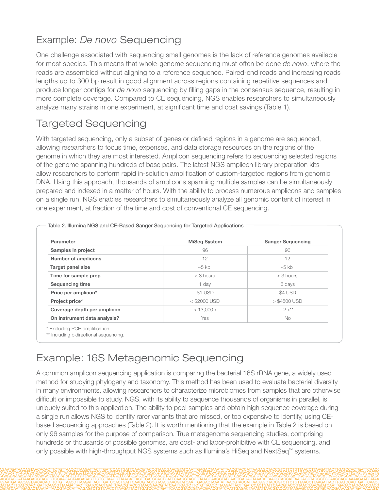### Example: *De novo* Sequencing

One challenge associated with sequencing small genomes is the lack of reference genomes available for most species. This means that whole-genome sequencing must often be done *de novo*, where the reads are assembled without aligning to a reference sequence. Paired-end reads and increasing reads lengths up to 300 bp result in good alignment across regions containing repetitive sequences and produce longer contigs for *de novo* sequencing by filling gaps in the consensus sequence, resulting in more complete coverage. Compared to CE sequencing, NGS enables researchers to simultaneously analyze many strains in one experiment, at significant time and cost savings (Table 1).

#### Targeted Sequencing

With targeted sequencing, only a subset of genes or defined regions in a genome are sequenced, allowing researchers to focus time, expenses, and data storage resources on the regions of the genome in which they are most interested. Amplicon sequencing refers to sequencing selected regions of the genome spanning hundreds of base pairs. The latest NGS amplicon library preparation kits allow researchers to perform rapid in-solution amplification of custom-targeted regions from genomic DNA. Using this approach, thousands of amplicons spanning multiple samples can be simultaneously prepared and indexed in a matter of hours. With the ability to process numerous amplicons and samples on a single run, NGS enables researchers to simultaneously analyze all genomic content of interest in one experiment, at fraction of the time and cost of conventional CE sequencing.

| Parameter                    | <b>MiSeq System</b> | <b>Sanger Sequencing</b> |
|------------------------------|---------------------|--------------------------|
| Samples in project           | 96                  | 96                       |
| <b>Number of amplicons</b>   | 12                  | 12                       |
| Target panel size            | $~10-5$ kb          | $~5$ kb                  |
| Time for sample prep         | $<$ 3 hours         | $<$ 3 hours              |
| <b>Sequencing time</b>       | 1 day               | 6 days                   |
| Price per amplicon*          | \$1 USD             | \$4 USD                  |
| Project price*               | $<$ \$2000 USD      | $>$ \$4500 USD           |
| Coverage depth per amplicon  | > 13,000x           | $2x**$                   |
| On instrument data analysis? | Yes                 | <b>No</b>                |

Table 2. Illumina NGS and CE-Based Sanger Sequencing for Targeted Applications

#### Example: 16S Metagenomic Sequencing

A common amplicon sequencing application is comparing the bacterial 16S rRNA gene, a widely used method for studying phylogeny and taxonomy. This method has been used to evaluate bacterial diversity in many environments, allowing researchers to characterize microbiomes from samples that are otherwise difficult or impossible to study. NGS, with its ability to sequence thousands of organisms in parallel, is uniquely suited to this application. The ability to pool samples and obtain high sequence coverage during a single run allows NGS to identify rarer variants that are missed, or too expensive to identify, using CEbased sequencing approaches (Table 2). It is worth mentioning that the example in Table 2 is based on only 96 samples for the purpose of comparison. True metagenome sequencing studies, comprising hundreds or thousands of possible genomes, are cost- and labor-prohibitive with CE sequencing, and only possible with high-throughput NGS systems such as Illumina's HiSeq and NextSeq™ systems.